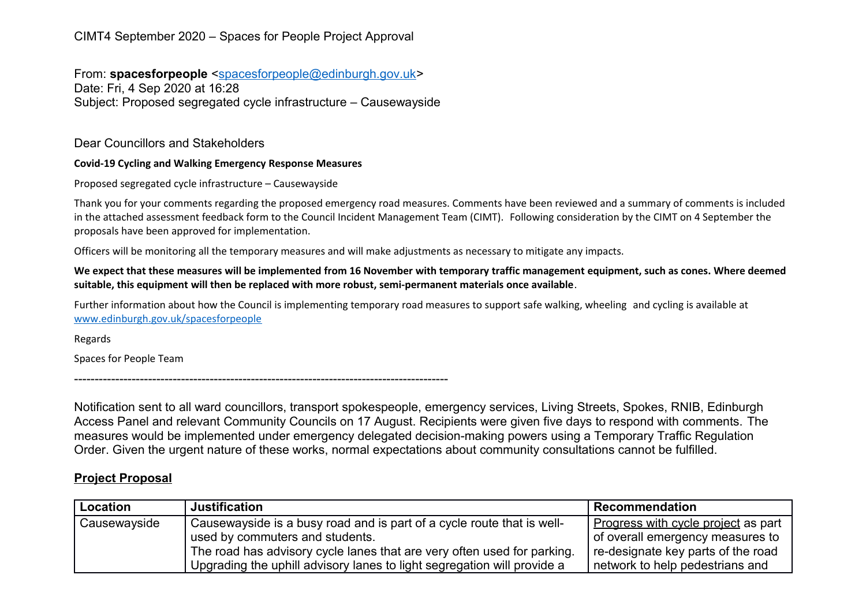## CIMT4 September 2020 – Spaces for People Project Approval

From: **spacesforpeople** [<spacesforpeople@edinburgh.gov.uk>](mailto:spacesforpeople@edinburgh.gov.uk) Date: Fri, 4 Sep 2020 at 16:28 Subject: Proposed segregated cycle infrastructure – Causewayside

Dear Councillors and Stakeholders

## **Covid-19 Cycling and Walking Emergency Response Measures**

Proposed segregated cycle infrastructure – Causewayside

Thank you for your comments regarding the proposed emergency road measures. Comments have been reviewed and a summary of comments is included in the attached assessment feedback form to the Council Incident Management Team (CIMT). Following consideration by the CIMT on 4 September the proposals have been approved for implementation.

Officers will be monitoring all the temporary measures and will make adjustments as necessary to mitigate any impacts.

**We expect that these measures will be implemented from 16 November with temporary traffic management equipment, such as cones. Where deemed suitable, this equipment will then be replaced with more robust, semi-permanent materials once available**.

Further information about how the Council is implementing temporary road measures to support safe walking, wheeling and cycling is available at [www.edinburgh.gov.uk/spacesforpeople](http://www.edinburgh.gov.uk/spacesforpeople)

Regards

Spaces for People Team

-------------------------------------------------------------------------------------------

Notification sent to all ward councillors, transport spokespeople, emergency services, Living Streets, Spokes, RNIB, Edinburgh Access Panel and relevant Community Councils on 17 August. Recipients were given five days to respond with comments. The measures would be implemented under emergency delegated decision-making powers using a Temporary Traffic Regulation Order. Given the urgent nature of these works, normal expectations about community consultations cannot be fulfilled.

## **Project Proposal**

| Location     | <b>Justification</b>                                                    | <b>Recommendation</b>               |
|--------------|-------------------------------------------------------------------------|-------------------------------------|
| Causewayside | Causewayside is a busy road and is part of a cycle route that is well-  | Progress with cycle project as part |
|              | used by commuters and students.                                         | of overall emergency measures to    |
|              | The road has advisory cycle lanes that are very often used for parking. | re-designate key parts of the road  |
|              | Upgrading the uphill advisory lanes to light segregation will provide a | network to help pedestrians and     |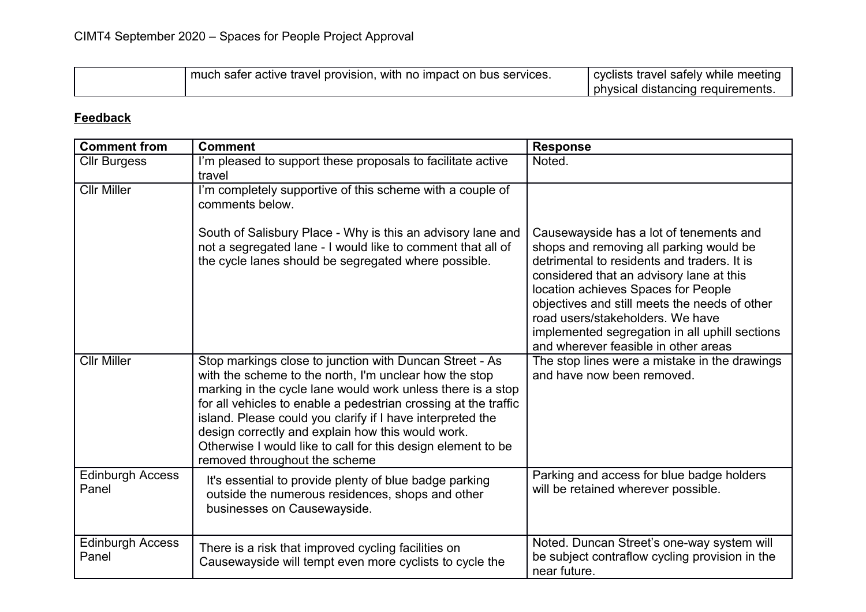| much safer active travel provision, with no impact on bus services. | cyclists travel safely while meeting<br>physical distancing requirements. |
|---------------------------------------------------------------------|---------------------------------------------------------------------------|
|---------------------------------------------------------------------|---------------------------------------------------------------------------|

## **Feedback**

| <b>Comment from</b>              | <b>Comment</b>                                                                                                                                                                                                                                                                                                                                                                                                                                                          | <b>Response</b>                                                                                                                                                                                                                                                                                                                                                                                     |
|----------------------------------|-------------------------------------------------------------------------------------------------------------------------------------------------------------------------------------------------------------------------------------------------------------------------------------------------------------------------------------------------------------------------------------------------------------------------------------------------------------------------|-----------------------------------------------------------------------------------------------------------------------------------------------------------------------------------------------------------------------------------------------------------------------------------------------------------------------------------------------------------------------------------------------------|
| <b>Cllr Burgess</b>              | I'm pleased to support these proposals to facilitate active<br>travel                                                                                                                                                                                                                                                                                                                                                                                                   | Noted.                                                                                                                                                                                                                                                                                                                                                                                              |
| <b>Cllr Miller</b>               | I'm completely supportive of this scheme with a couple of<br>comments below.                                                                                                                                                                                                                                                                                                                                                                                            |                                                                                                                                                                                                                                                                                                                                                                                                     |
|                                  | South of Salisbury Place - Why is this an advisory lane and<br>not a segregated lane - I would like to comment that all of<br>the cycle lanes should be segregated where possible.                                                                                                                                                                                                                                                                                      | Causewayside has a lot of tenements and<br>shops and removing all parking would be<br>detrimental to residents and traders. It is<br>considered that an advisory lane at this<br>location achieves Spaces for People<br>objectives and still meets the needs of other<br>road users/stakeholders. We have<br>implemented segregation in all uphill sections<br>and wherever feasible in other areas |
| <b>Cllr Miller</b>               | Stop markings close to junction with Duncan Street - As<br>with the scheme to the north, I'm unclear how the stop<br>marking in the cycle lane would work unless there is a stop<br>for all vehicles to enable a pedestrian crossing at the traffic<br>island. Please could you clarify if I have interpreted the<br>design correctly and explain how this would work.<br>Otherwise I would like to call for this design element to be<br>removed throughout the scheme | The stop lines were a mistake in the drawings<br>and have now been removed.                                                                                                                                                                                                                                                                                                                         |
| <b>Edinburgh Access</b><br>Panel | It's essential to provide plenty of blue badge parking<br>outside the numerous residences, shops and other<br>businesses on Causewayside.                                                                                                                                                                                                                                                                                                                               | Parking and access for blue badge holders<br>will be retained wherever possible.                                                                                                                                                                                                                                                                                                                    |
| <b>Edinburgh Access</b><br>Panel | There is a risk that improved cycling facilities on<br>Causewayside will tempt even more cyclists to cycle the                                                                                                                                                                                                                                                                                                                                                          | Noted. Duncan Street's one-way system will<br>be subject contraflow cycling provision in the<br>near future.                                                                                                                                                                                                                                                                                        |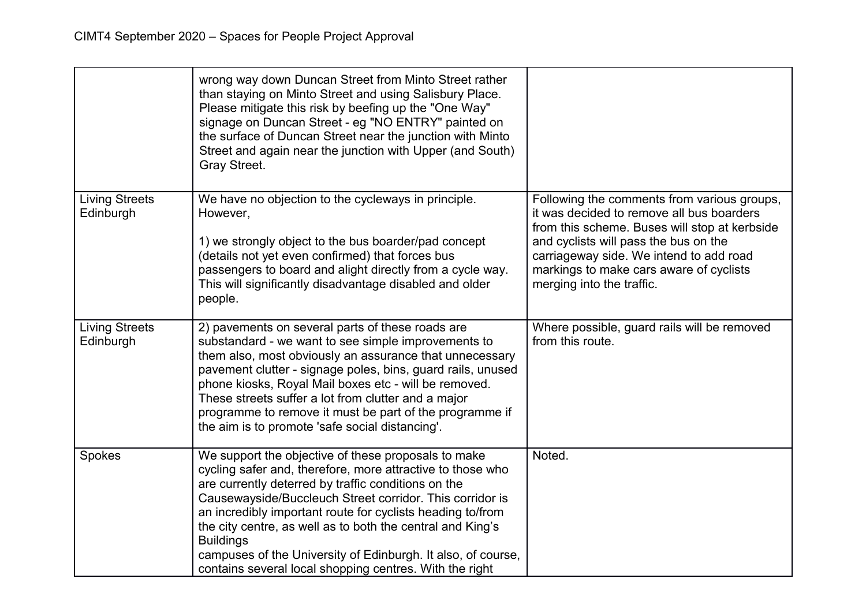|                                    | wrong way down Duncan Street from Minto Street rather<br>than staying on Minto Street and using Salisbury Place.<br>Please mitigate this risk by beefing up the "One Way"<br>signage on Duncan Street - eg "NO ENTRY" painted on<br>the surface of Duncan Street near the junction with Minto<br>Street and again near the junction with Upper (and South)<br>Gray Street.                                                                                                                                      |                                                                                                                                                                                                                                                                                                       |
|------------------------------------|-----------------------------------------------------------------------------------------------------------------------------------------------------------------------------------------------------------------------------------------------------------------------------------------------------------------------------------------------------------------------------------------------------------------------------------------------------------------------------------------------------------------|-------------------------------------------------------------------------------------------------------------------------------------------------------------------------------------------------------------------------------------------------------------------------------------------------------|
| <b>Living Streets</b><br>Edinburgh | We have no objection to the cycleways in principle.<br>However,<br>1) we strongly object to the bus boarder/pad concept<br>(details not yet even confirmed) that forces bus<br>passengers to board and alight directly from a cycle way.<br>This will significantly disadvantage disabled and older<br>people.                                                                                                                                                                                                  | Following the comments from various groups,<br>it was decided to remove all bus boarders<br>from this scheme. Buses will stop at kerbside<br>and cyclists will pass the bus on the<br>carriageway side. We intend to add road<br>markings to make cars aware of cyclists<br>merging into the traffic. |
| <b>Living Streets</b><br>Edinburgh | 2) pavements on several parts of these roads are<br>substandard - we want to see simple improvements to<br>them also, most obviously an assurance that unnecessary<br>pavement clutter - signage poles, bins, guard rails, unused<br>phone kiosks, Royal Mail boxes etc - will be removed.<br>These streets suffer a lot from clutter and a major<br>programme to remove it must be part of the programme if<br>the aim is to promote 'safe social distancing'.                                                 | Where possible, guard rails will be removed<br>from this route.                                                                                                                                                                                                                                       |
| Spokes                             | We support the objective of these proposals to make<br>cycling safer and, therefore, more attractive to those who<br>are currently deterred by traffic conditions on the<br>Causewayside/Buccleuch Street corridor. This corridor is<br>an incredibly important route for cyclists heading to/from<br>the city centre, as well as to both the central and King's<br><b>Buildings</b><br>campuses of the University of Edinburgh. It also, of course,<br>contains several local shopping centres. With the right | Noted.                                                                                                                                                                                                                                                                                                |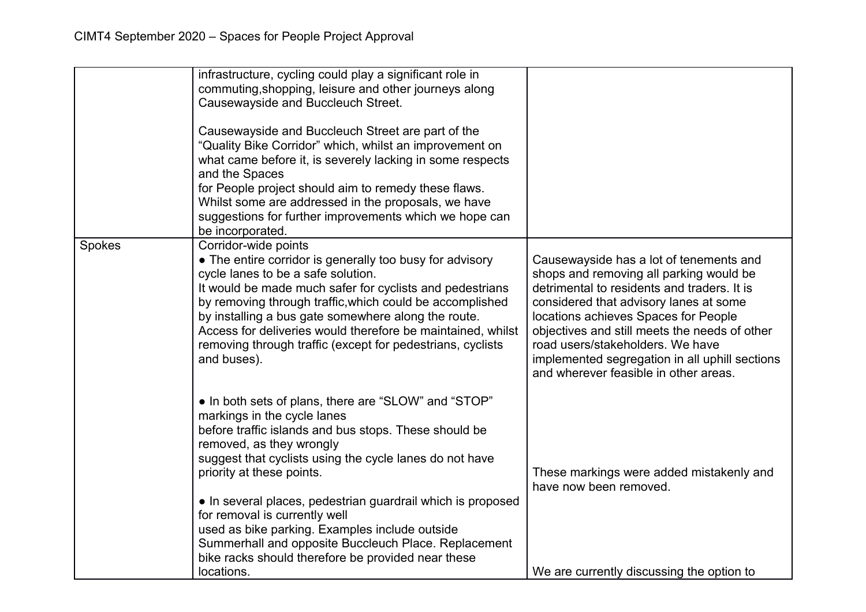|        | infrastructure, cycling could play a significant role in<br>commuting, shopping, leisure and other journeys along<br>Causewayside and Buccleuch Street.<br>Causewayside and Buccleuch Street are part of the<br>"Quality Bike Corridor" which, whilst an improvement on<br>what came before it, is severely lacking in some respects<br>and the Spaces<br>for People project should aim to remedy these flaws.<br>Whilst some are addressed in the proposals, we have<br>suggestions for further improvements which we hope can<br>be incorporated. |                                                                                                                                                                                                                                                                                                                                                                                                     |
|--------|-----------------------------------------------------------------------------------------------------------------------------------------------------------------------------------------------------------------------------------------------------------------------------------------------------------------------------------------------------------------------------------------------------------------------------------------------------------------------------------------------------------------------------------------------------|-----------------------------------------------------------------------------------------------------------------------------------------------------------------------------------------------------------------------------------------------------------------------------------------------------------------------------------------------------------------------------------------------------|
| Spokes | Corridor-wide points<br>• The entire corridor is generally too busy for advisory<br>cycle lanes to be a safe solution.<br>It would be made much safer for cyclists and pedestrians<br>by removing through traffic, which could be accomplished<br>by installing a bus gate somewhere along the route.<br>Access for deliveries would therefore be maintained, whilst<br>removing through traffic (except for pedestrians, cyclists<br>and buses).                                                                                                   | Causewayside has a lot of tenements and<br>shops and removing all parking would be<br>detrimental to residents and traders. It is<br>considered that advisory lanes at some<br>locations achieves Spaces for People<br>objectives and still meets the needs of other<br>road users/stakeholders. We have<br>implemented segregation in all uphill sections<br>and wherever feasible in other areas. |
|        | • In both sets of plans, there are "SLOW" and "STOP"<br>markings in the cycle lanes<br>before traffic islands and bus stops. These should be<br>removed, as they wrongly<br>suggest that cyclists using the cycle lanes do not have<br>priority at these points.<br>• In several places, pedestrian guardrail which is proposed<br>for removal is currently well<br>used as bike parking. Examples include outside<br>Summerhall and opposite Buccleuch Place. Replacement<br>bike racks should therefore be provided near these<br>locations.      | These markings were added mistakenly and<br>have now been removed.<br>We are currently discussing the option to                                                                                                                                                                                                                                                                                     |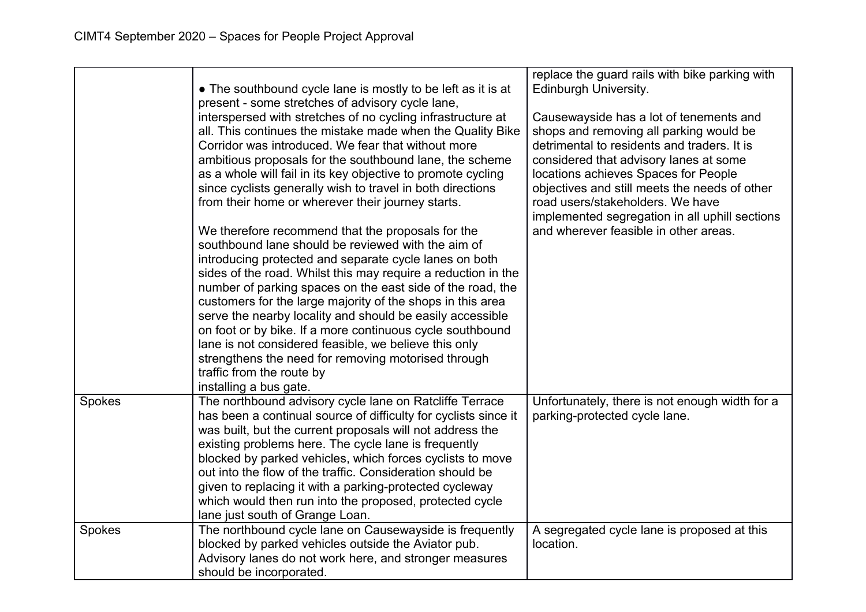|        | • The southbound cycle lane is mostly to be left as it is at<br>present - some stretches of advisory cycle lane,<br>interspersed with stretches of no cycling infrastructure at<br>all. This continues the mistake made when the Quality Bike<br>Corridor was introduced. We fear that without more<br>ambitious proposals for the southbound lane, the scheme<br>as a whole will fail in its key objective to promote cycling<br>since cyclists generally wish to travel in both directions<br>from their home or wherever their journey starts.<br>We therefore recommend that the proposals for the<br>southbound lane should be reviewed with the aim of<br>introducing protected and separate cycle lanes on both<br>sides of the road. Whilst this may require a reduction in the<br>number of parking spaces on the east side of the road, the<br>customers for the large majority of the shops in this area<br>serve the nearby locality and should be easily accessible<br>on foot or by bike. If a more continuous cycle southbound<br>lane is not considered feasible, we believe this only<br>strengthens the need for removing motorised through<br>traffic from the route by<br>installing a bus gate. | replace the guard rails with bike parking with<br>Edinburgh University.<br>Causewayside has a lot of tenements and<br>shops and removing all parking would be<br>detrimental to residents and traders. It is<br>considered that advisory lanes at some<br>locations achieves Spaces for People<br>objectives and still meets the needs of other<br>road users/stakeholders. We have<br>implemented segregation in all uphill sections<br>and wherever feasible in other areas. |
|--------|----------------------------------------------------------------------------------------------------------------------------------------------------------------------------------------------------------------------------------------------------------------------------------------------------------------------------------------------------------------------------------------------------------------------------------------------------------------------------------------------------------------------------------------------------------------------------------------------------------------------------------------------------------------------------------------------------------------------------------------------------------------------------------------------------------------------------------------------------------------------------------------------------------------------------------------------------------------------------------------------------------------------------------------------------------------------------------------------------------------------------------------------------------------------------------------------------------------------|--------------------------------------------------------------------------------------------------------------------------------------------------------------------------------------------------------------------------------------------------------------------------------------------------------------------------------------------------------------------------------------------------------------------------------------------------------------------------------|
| Spokes | The northbound advisory cycle lane on Ratcliffe Terrace<br>has been a continual source of difficulty for cyclists since it<br>was built, but the current proposals will not address the<br>existing problems here. The cycle lane is frequently<br>blocked by parked vehicles, which forces cyclists to move<br>out into the flow of the traffic. Consideration should be<br>given to replacing it with a parking-protected cycleway<br>which would then run into the proposed, protected cycle<br>lane just south of Grange Loan.                                                                                                                                                                                                                                                                                                                                                                                                                                                                                                                                                                                                                                                                                   | Unfortunately, there is not enough width for a<br>parking-protected cycle lane.                                                                                                                                                                                                                                                                                                                                                                                                |
| Spokes | The northbound cycle lane on Causewayside is frequently<br>blocked by parked vehicles outside the Aviator pub.<br>Advisory lanes do not work here, and stronger measures<br>should be incorporated.                                                                                                                                                                                                                                                                                                                                                                                                                                                                                                                                                                                                                                                                                                                                                                                                                                                                                                                                                                                                                  | A segregated cycle lane is proposed at this<br>location.                                                                                                                                                                                                                                                                                                                                                                                                                       |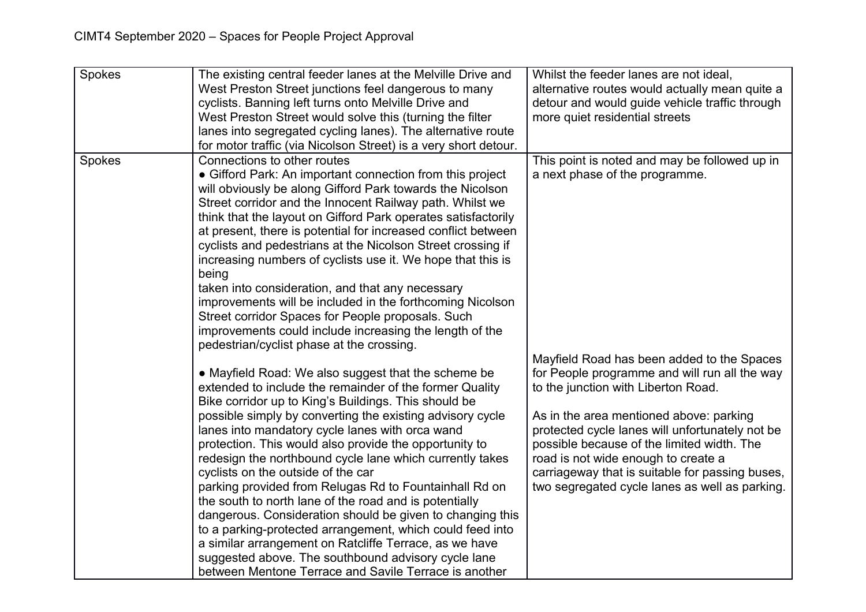| Spokes | The existing central feeder lanes at the Melville Drive and<br>West Preston Street junctions feel dangerous to many<br>cyclists. Banning left turns onto Melville Drive and<br>West Preston Street would solve this (turning the filter<br>lanes into segregated cycling lanes). The alternative route<br>for motor traffic (via Nicolson Street) is a very short detour.                                                                                                                                                                                                                                                                                                                                                                                                                                                                                                                                                                                                                                                                                                                                                                                                                                                      | Whilst the feeder lanes are not ideal,<br>alternative routes would actually mean quite a<br>detour and would guide vehicle traffic through<br>more quiet residential streets                                                                                                                                                                                                                                                                                |
|--------|--------------------------------------------------------------------------------------------------------------------------------------------------------------------------------------------------------------------------------------------------------------------------------------------------------------------------------------------------------------------------------------------------------------------------------------------------------------------------------------------------------------------------------------------------------------------------------------------------------------------------------------------------------------------------------------------------------------------------------------------------------------------------------------------------------------------------------------------------------------------------------------------------------------------------------------------------------------------------------------------------------------------------------------------------------------------------------------------------------------------------------------------------------------------------------------------------------------------------------|-------------------------------------------------------------------------------------------------------------------------------------------------------------------------------------------------------------------------------------------------------------------------------------------------------------------------------------------------------------------------------------------------------------------------------------------------------------|
| Spokes | Connections to other routes<br>• Gifford Park: An important connection from this project<br>will obviously be along Gifford Park towards the Nicolson<br>Street corridor and the Innocent Railway path. Whilst we<br>think that the layout on Gifford Park operates satisfactorily<br>at present, there is potential for increased conflict between<br>cyclists and pedestrians at the Nicolson Street crossing if<br>increasing numbers of cyclists use it. We hope that this is<br>being<br>taken into consideration, and that any necessary<br>improvements will be included in the forthcoming Nicolson<br>Street corridor Spaces for People proposals. Such<br>improvements could include increasing the length of the<br>pedestrian/cyclist phase at the crossing.<br>• Mayfield Road: We also suggest that the scheme be<br>extended to include the remainder of the former Quality<br>Bike corridor up to King's Buildings. This should be<br>possible simply by converting the existing advisory cycle<br>lanes into mandatory cycle lanes with orca wand<br>protection. This would also provide the opportunity to<br>redesign the northbound cycle lane which currently takes<br>cyclists on the outside of the car | This point is noted and may be followed up in<br>a next phase of the programme.<br>Mayfield Road has been added to the Spaces<br>for People programme and will run all the way<br>to the junction with Liberton Road.<br>As in the area mentioned above: parking<br>protected cycle lanes will unfortunately not be<br>possible because of the limited width. The<br>road is not wide enough to create a<br>carriageway that is suitable for passing buses, |
|        | parking provided from Relugas Rd to Fountainhall Rd on<br>the south to north lane of the road and is potentially<br>dangerous. Consideration should be given to changing this<br>to a parking-protected arrangement, which could feed into<br>a similar arrangement on Ratcliffe Terrace, as we have<br>suggested above. The southbound advisory cycle lane<br>between Mentone Terrace and Savile Terrace is another                                                                                                                                                                                                                                                                                                                                                                                                                                                                                                                                                                                                                                                                                                                                                                                                           | two segregated cycle lanes as well as parking.                                                                                                                                                                                                                                                                                                                                                                                                              |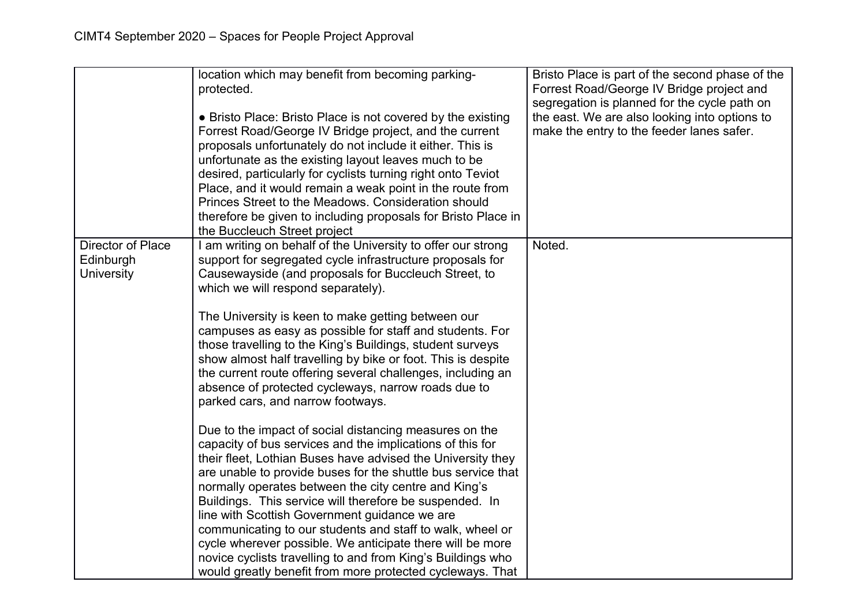|                                                     | location which may benefit from becoming parking-<br>protected.<br>• Bristo Place: Bristo Place is not covered by the existing<br>Forrest Road/George IV Bridge project, and the current<br>proposals unfortunately do not include it either. This is<br>unfortunate as the existing layout leaves much to be<br>desired, particularly for cyclists turning right onto Teviot<br>Place, and it would remain a weak point in the route from<br>Princes Street to the Meadows, Consideration should<br>therefore be given to including proposals for Bristo Place in<br>the Buccleuch Street project                                                                           | Bristo Place is part of the second phase of the<br>Forrest Road/George IV Bridge project and<br>segregation is planned for the cycle path on<br>the east. We are also looking into options to<br>make the entry to the feeder lanes safer. |
|-----------------------------------------------------|------------------------------------------------------------------------------------------------------------------------------------------------------------------------------------------------------------------------------------------------------------------------------------------------------------------------------------------------------------------------------------------------------------------------------------------------------------------------------------------------------------------------------------------------------------------------------------------------------------------------------------------------------------------------------|--------------------------------------------------------------------------------------------------------------------------------------------------------------------------------------------------------------------------------------------|
| Director of Place<br>Edinburgh<br><b>University</b> | I am writing on behalf of the University to offer our strong<br>support for segregated cycle infrastructure proposals for<br>Causewayside (and proposals for Buccleuch Street, to<br>which we will respond separately).<br>The University is keen to make getting between our<br>campuses as easy as possible for staff and students. For<br>those travelling to the King's Buildings, student surveys<br>show almost half travelling by bike or foot. This is despite<br>the current route offering several challenges, including an<br>absence of protected cycleways, narrow roads due to<br>parked cars, and narrow footways.                                            | Noted.                                                                                                                                                                                                                                     |
|                                                     | Due to the impact of social distancing measures on the<br>capacity of bus services and the implications of this for<br>their fleet, Lothian Buses have advised the University they<br>are unable to provide buses for the shuttle bus service that<br>normally operates between the city centre and King's<br>Buildings. This service will therefore be suspended. In<br>line with Scottish Government guidance we are<br>communicating to our students and staff to walk, wheel or<br>cycle wherever possible. We anticipate there will be more<br>novice cyclists travelling to and from King's Buildings who<br>would greatly benefit from more protected cycleways. That |                                                                                                                                                                                                                                            |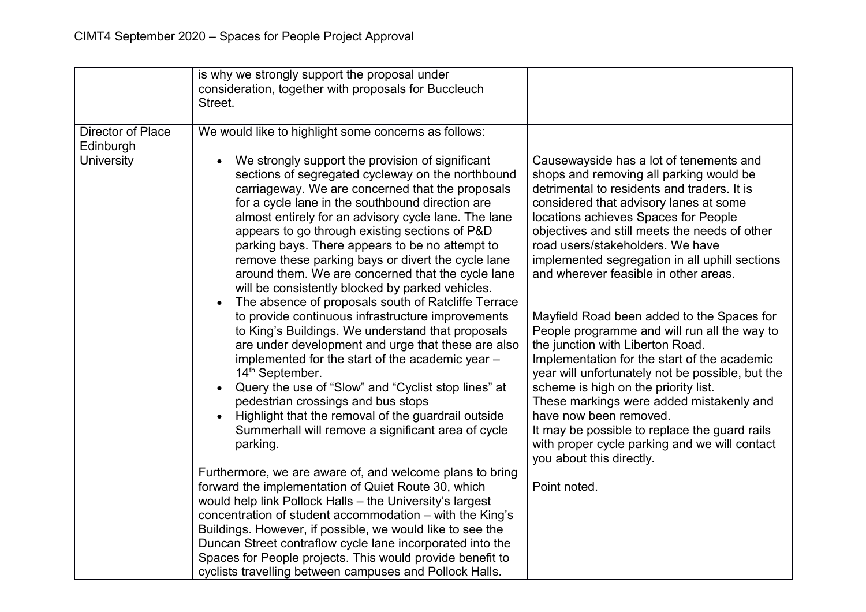|                                                     | is why we strongly support the proposal under<br>consideration, together with proposals for Buccleuch<br>Street.                                                                                                                                                                                                                                                                                                                                                                                                                                                                                                                                                                                                                                                                                                                                                                                                                                                                                                                                                                                                                               |                                                                                                                                                                                                                                                                                                                                                                                                                                                                                                                                                                                                                                                                                                                                                                                                                                                           |
|-----------------------------------------------------|------------------------------------------------------------------------------------------------------------------------------------------------------------------------------------------------------------------------------------------------------------------------------------------------------------------------------------------------------------------------------------------------------------------------------------------------------------------------------------------------------------------------------------------------------------------------------------------------------------------------------------------------------------------------------------------------------------------------------------------------------------------------------------------------------------------------------------------------------------------------------------------------------------------------------------------------------------------------------------------------------------------------------------------------------------------------------------------------------------------------------------------------|-----------------------------------------------------------------------------------------------------------------------------------------------------------------------------------------------------------------------------------------------------------------------------------------------------------------------------------------------------------------------------------------------------------------------------------------------------------------------------------------------------------------------------------------------------------------------------------------------------------------------------------------------------------------------------------------------------------------------------------------------------------------------------------------------------------------------------------------------------------|
| Director of Place<br>Edinburgh<br><b>University</b> | We would like to highlight some concerns as follows:<br>We strongly support the provision of significant<br>sections of segregated cycleway on the northbound<br>carriageway. We are concerned that the proposals<br>for a cycle lane in the southbound direction are<br>almost entirely for an advisory cycle lane. The lane<br>appears to go through existing sections of P&D<br>parking bays. There appears to be no attempt to<br>remove these parking bays or divert the cycle lane<br>around them. We are concerned that the cycle lane<br>will be consistently blocked by parked vehicles.<br>The absence of proposals south of Ratcliffe Terrace<br>$\bullet$<br>to provide continuous infrastructure improvements<br>to King's Buildings. We understand that proposals<br>are under development and urge that these are also<br>implemented for the start of the academic year -<br>14 <sup>th</sup> September.<br>Query the use of "Slow" and "Cyclist stop lines" at<br>pedestrian crossings and bus stops<br>Highlight that the removal of the guardrail outside<br>Summerhall will remove a significant area of cycle<br>parking. | Causewayside has a lot of tenements and<br>shops and removing all parking would be<br>detrimental to residents and traders. It is<br>considered that advisory lanes at some<br>locations achieves Spaces for People<br>objectives and still meets the needs of other<br>road users/stakeholders. We have<br>implemented segregation in all uphill sections<br>and wherever feasible in other areas.<br>Mayfield Road been added to the Spaces for<br>People programme and will run all the way to<br>the junction with Liberton Road.<br>Implementation for the start of the academic<br>year will unfortunately not be possible, but the<br>scheme is high on the priority list.<br>These markings were added mistakenly and<br>have now been removed.<br>It may be possible to replace the guard rails<br>with proper cycle parking and we will contact |
|                                                     | Furthermore, we are aware of, and welcome plans to bring<br>forward the implementation of Quiet Route 30, which                                                                                                                                                                                                                                                                                                                                                                                                                                                                                                                                                                                                                                                                                                                                                                                                                                                                                                                                                                                                                                | you about this directly.<br>Point noted.                                                                                                                                                                                                                                                                                                                                                                                                                                                                                                                                                                                                                                                                                                                                                                                                                  |
|                                                     | would help link Pollock Halls - the University's largest<br>concentration of student accommodation – with the King's<br>Buildings. However, if possible, we would like to see the<br>Duncan Street contraflow cycle lane incorporated into the<br>Spaces for People projects. This would provide benefit to<br>cyclists travelling between campuses and Pollock Halls.                                                                                                                                                                                                                                                                                                                                                                                                                                                                                                                                                                                                                                                                                                                                                                         |                                                                                                                                                                                                                                                                                                                                                                                                                                                                                                                                                                                                                                                                                                                                                                                                                                                           |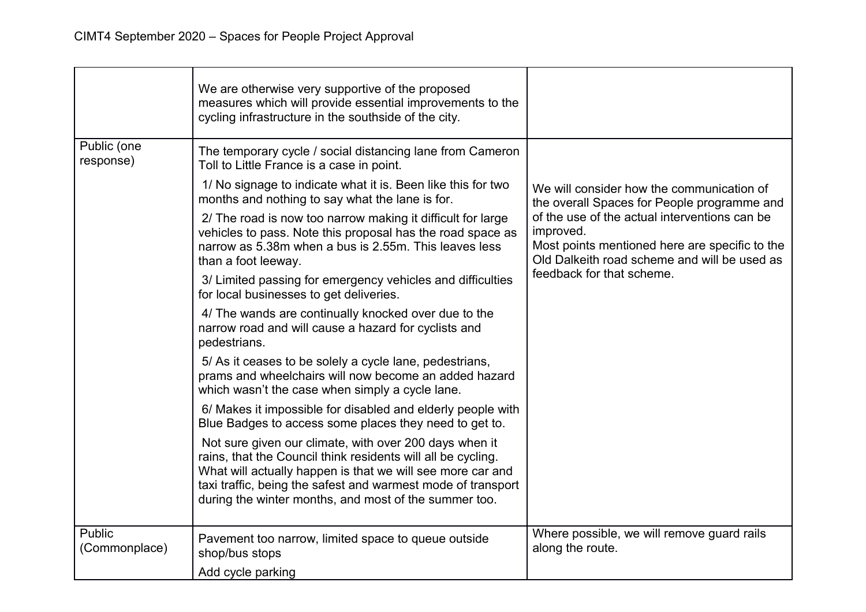|                          | We are otherwise very supportive of the proposed<br>measures which will provide essential improvements to the<br>cycling infrastructure in the southside of the city.                                                                                                                                         |                                                                                                                                                              |
|--------------------------|---------------------------------------------------------------------------------------------------------------------------------------------------------------------------------------------------------------------------------------------------------------------------------------------------------------|--------------------------------------------------------------------------------------------------------------------------------------------------------------|
| Public (one<br>response) | The temporary cycle / social distancing lane from Cameron<br>Toll to Little France is a case in point.                                                                                                                                                                                                        |                                                                                                                                                              |
|                          | 1/ No signage to indicate what it is. Been like this for two<br>months and nothing to say what the lane is for.                                                                                                                                                                                               | We will consider how the communication of<br>the overall Spaces for People programme and                                                                     |
|                          | 2/ The road is now too narrow making it difficult for large<br>vehicles to pass. Note this proposal has the road space as<br>narrow as 5.38m when a bus is 2.55m. This leaves less<br>than a foot leeway.                                                                                                     | of the use of the actual interventions can be<br>improved.<br>Most points mentioned here are specific to the<br>Old Dalkeith road scheme and will be used as |
|                          | 3/ Limited passing for emergency vehicles and difficulties<br>for local businesses to get deliveries.                                                                                                                                                                                                         | feedback for that scheme.                                                                                                                                    |
|                          | 4/ The wands are continually knocked over due to the<br>narrow road and will cause a hazard for cyclists and<br>pedestrians.                                                                                                                                                                                  |                                                                                                                                                              |
|                          | 5/ As it ceases to be solely a cycle lane, pedestrians,<br>prams and wheelchairs will now become an added hazard<br>which wasn't the case when simply a cycle lane.                                                                                                                                           |                                                                                                                                                              |
|                          | 6/ Makes it impossible for disabled and elderly people with<br>Blue Badges to access some places they need to get to.                                                                                                                                                                                         |                                                                                                                                                              |
|                          | Not sure given our climate, with over 200 days when it<br>rains, that the Council think residents will all be cycling.<br>What will actually happen is that we will see more car and<br>taxi traffic, being the safest and warmest mode of transport<br>during the winter months, and most of the summer too. |                                                                                                                                                              |
| Public<br>(Commonplace)  | Pavement too narrow, limited space to queue outside<br>shop/bus stops                                                                                                                                                                                                                                         | Where possible, we will remove guard rails<br>along the route.                                                                                               |
|                          | Add cycle parking                                                                                                                                                                                                                                                                                             |                                                                                                                                                              |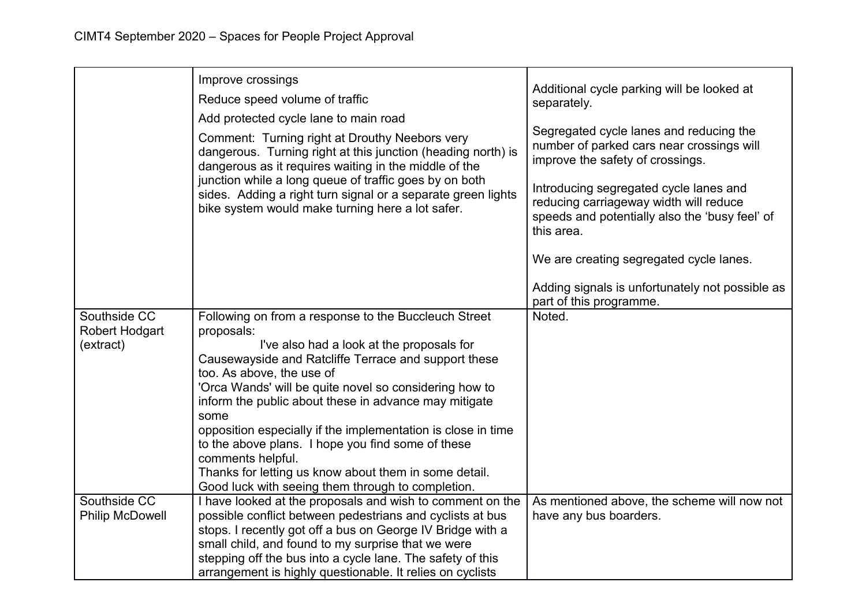|                                             | Improve crossings<br>Reduce speed volume of traffic<br>Add protected cycle lane to main road<br>Comment: Turning right at Drouthy Neebors very<br>dangerous. Turning right at this junction (heading north) is<br>dangerous as it requires waiting in the middle of the<br>junction while a long queue of traffic goes by on both<br>sides. Adding a right turn signal or a separate green lights<br>bike system would make turning here a lot safer.                                                                                                                                   | Additional cycle parking will be looked at<br>separately.<br>Segregated cycle lanes and reducing the<br>number of parked cars near crossings will<br>improve the safety of crossings.<br>Introducing segregated cycle lanes and<br>reducing carriageway width will reduce<br>speeds and potentially also the 'busy feel' of<br>this area. |
|---------------------------------------------|-----------------------------------------------------------------------------------------------------------------------------------------------------------------------------------------------------------------------------------------------------------------------------------------------------------------------------------------------------------------------------------------------------------------------------------------------------------------------------------------------------------------------------------------------------------------------------------------|-------------------------------------------------------------------------------------------------------------------------------------------------------------------------------------------------------------------------------------------------------------------------------------------------------------------------------------------|
|                                             |                                                                                                                                                                                                                                                                                                                                                                                                                                                                                                                                                                                         | We are creating segregated cycle lanes.                                                                                                                                                                                                                                                                                                   |
|                                             |                                                                                                                                                                                                                                                                                                                                                                                                                                                                                                                                                                                         | Adding signals is unfortunately not possible as<br>part of this programme.                                                                                                                                                                                                                                                                |
| Southside CC<br>Robert Hodgart<br>(extract) | Following on from a response to the Buccleuch Street<br>proposals:<br>I've also had a look at the proposals for<br>Causewayside and Ratcliffe Terrace and support these<br>too. As above, the use of<br>'Orca Wands' will be quite novel so considering how to<br>inform the public about these in advance may mitigate<br>some<br>opposition especially if the implementation is close in time<br>to the above plans. I hope you find some of these<br>comments helpful.<br>Thanks for letting us know about them in some detail.<br>Good luck with seeing them through to completion. | Noted.                                                                                                                                                                                                                                                                                                                                    |
| Southside CC<br><b>Philip McDowell</b>      | I have looked at the proposals and wish to comment on the<br>possible conflict between pedestrians and cyclists at bus                                                                                                                                                                                                                                                                                                                                                                                                                                                                  | As mentioned above, the scheme will now not<br>have any bus boarders.                                                                                                                                                                                                                                                                     |
|                                             | stops. I recently got off a bus on George IV Bridge with a                                                                                                                                                                                                                                                                                                                                                                                                                                                                                                                              |                                                                                                                                                                                                                                                                                                                                           |
|                                             | small child, and found to my surprise that we were                                                                                                                                                                                                                                                                                                                                                                                                                                                                                                                                      |                                                                                                                                                                                                                                                                                                                                           |
|                                             | stepping off the bus into a cycle lane. The safety of this<br>arrangement is highly questionable. It relies on cyclists                                                                                                                                                                                                                                                                                                                                                                                                                                                                 |                                                                                                                                                                                                                                                                                                                                           |